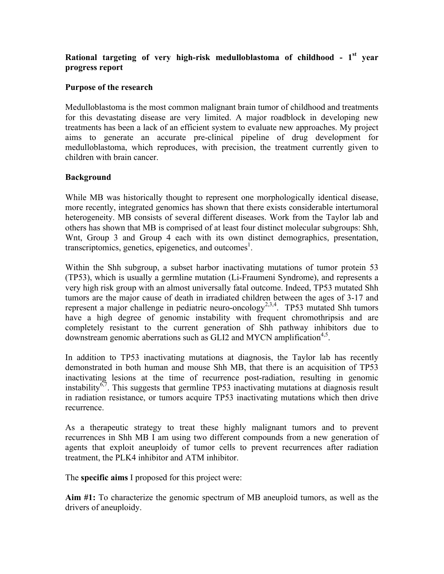## **Rational targeting of very high-risk medulloblastoma of childhood - 1st year progress report**

## **Purpose of the research**

Medulloblastoma is the most common malignant brain tumor of childhood and treatments for this devastating disease are very limited. A major roadblock in developing new treatments has been a lack of an efficient system to evaluate new approaches. My project aims to generate an accurate pre-clinical pipeline of drug development for medulloblastoma, which reproduces, with precision, the treatment currently given to children with brain cancer.

## **Background**

While MB was historically thought to represent one morphologically identical disease, more recently, integrated genomics has shown that there exists considerable intertumoral heterogeneity. MB consists of several different diseases. Work from the Taylor lab and others has shown that MB is comprised of at least four distinct molecular subgroups: Shh, Wnt, Group 3 and Group 4 each with its own distinct demographics, presentation, transcriptomics, genetics, epigenetics, and outcomes<sup>1</sup>.

Within the Shh subgroup, a subset harbor inactivating mutations of tumor protein 53 (TP53), which is usually a germline mutation (Li-Fraumeni Syndrome), and represents a very high risk group with an almost universally fatal outcome. Indeed, TP53 mutated Shh tumors are the major cause of death in irradiated children between the ages of 3-17 and represent a major challenge in pediatric neuro-oncology<sup>2,3,4</sup>. TP53 mutated Shh tumors have a high degree of genomic instability with frequent chromothripsis and are completely resistant to the current generation of Shh pathway inhibitors due to downstream genomic aberrations such as GLI2 and MYCN amplification<sup>4,5</sup>.

In addition to TP53 inactivating mutations at diagnosis, the Taylor lab has recently demonstrated in both human and mouse Shh MB, that there is an acquisition of TP53 inactivating lesions at the time of recurrence post-radiation, resulting in genomic instability<sup> $67$ </sup>. This suggests that germline TP53 inactivating mutations at diagnosis result in radiation resistance, or tumors acquire TP53 inactivating mutations which then drive recurrence.

As a therapeutic strategy to treat these highly malignant tumors and to prevent recurrences in Shh MB I am using two different compounds from a new generation of agents that exploit aneuploidy of tumor cells to prevent recurrences after radiation treatment, the PLK4 inhibitor and ATM inhibitor.

The **specific aims** I proposed for this project were:

**Aim #1:** To characterize the genomic spectrum of MB aneuploid tumors, as well as the drivers of aneuploidy.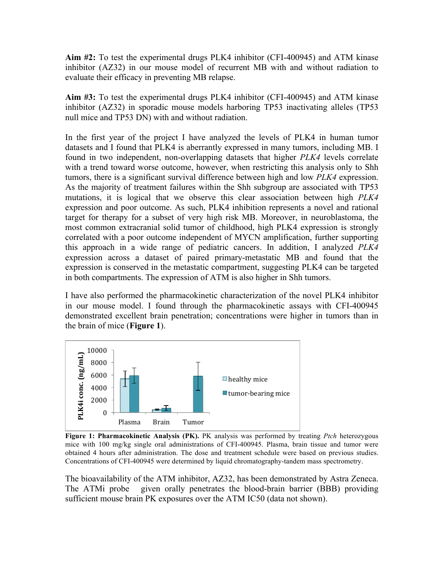**Aim #2:** To test the experimental drugs PLK4 inhibitor (CFI-400945) and ATM kinase inhibitor (AZ32) in our mouse model of recurrent MB with and without radiation to evaluate their efficacy in preventing MB relapse.

**Aim #3:** To test the experimental drugs PLK4 inhibitor (CFI-400945) and ATM kinase inhibitor (AZ32) in sporadic mouse models harboring TP53 inactivating alleles (TP53 null mice and TP53 DN) with and without radiation.

In the first year of the project I have analyzed the levels of PLK4 in human tumor datasets and I found that PLK4 is aberrantly expressed in many tumors, including MB. I found in two independent, non-overlapping datasets that higher *PLK4* levels correlate with a trend toward worse outcome, however, when restricting this analysis only to Shh tumors, there is a significant survival difference between high and low *PLK4* expression. As the majority of treatment failures within the Shh subgroup are associated with TP53 mutations, it is logical that we observe this clear association between high *PLK4* expression and poor outcome. As such, PLK4 inhibition represents a novel and rational target for therapy for a subset of very high risk MB. Moreover, in neuroblastoma, the most common extracranial solid tumor of childhood, high PLK4 expression is strongly correlated with a poor outcome independent of MYCN amplification, further supporting this approach in a wide range of pediatric cancers. In addition, I analyzed *PLK4* expression across a dataset of paired primary-metastatic MB and found that the expression is conserved in the metastatic compartment, suggesting PLK4 can be targeted in both compartments. The expression of ATM is also higher in Shh tumors.

I have also performed the pharmacokinetic characterization of the novel PLK4 inhibitor in our mouse model. I found through the pharmacokinetic assays with CFI-400945 demonstrated excellent brain penetration; concentrations were higher in tumors than in the brain of mice (**Figure 1**).



**Figure 1: Pharmacokinetic Analysis (PK).** PK analysis was performed by treating *Ptch* heterozygous mice with 100 mg/kg single oral administrations of CFI-400945. Plasma, brain tissue and tumor were obtained 4 hours after administration. The dose and treatment schedule were based on previous studies. Concentrations of CFI-400945 were determined by liquid chromatography-tandem mass spectrometry.

The bioavailability of the ATM inhibitor, AZ32, has been demonstrated by Astra Zeneca. The ATMi probe given orally penetrates the blood-brain barrier (BBB) providing sufficient mouse brain PK exposures over the ATM IC50 (data not shown).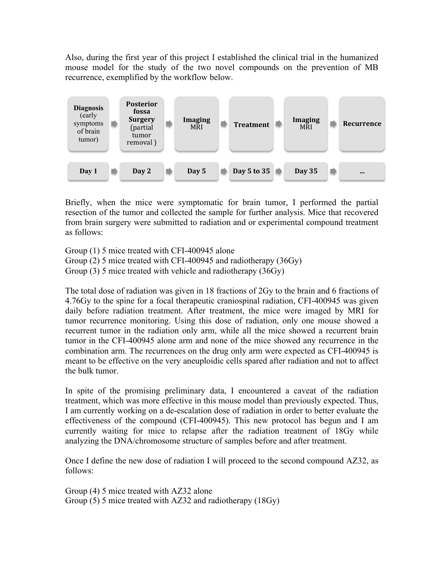Also, during the first year of this project I established the clinical trial in the humanized mouse model for the study of the two novel compounds on the prevention of MB recurrence, exemplified by the workflow below.



Briefly, when the mice were symptomatic for brain tumor, I performed the partial resection of the tumor and collected the sample for further analysis. Mice that recovered from brain surgery were submitted to radiation and or experimental compound treatment as follows:

Group (1) 5 mice treated with CFI-400945 alone Group (2) 5 mice treated with CFI-400945 and radiotherapy (36Gy) Group (3) 5 mice treated with vehicle and radiotherapy (36Gy)

The total dose of radiation was given in 18 fractions of 2Gy to the brain and 6 fractions of 4.76Gy to the spine for a focal therapeutic craniospinal radiation, CFI-400945 was given daily before radiation treatment. After treatment, the mice were imaged by MRI for tumor recurrence monitoring. Using this dose of radiation, only one mouse showed a recurrent tumor in the radiation only arm, while all the mice showed a recurrent brain tumor in the CFI-400945 alone arm and none of the mice showed any recurrence in the combination arm. The recurrences on the drug only arm were expected as CFI-400945 is meant to be effective on the very aneuploidic cells spared after radiation and not to affect the bulk tumor.

In spite of the promising preliminary data, I encountered a caveat of the radiation treatment, which was more effective in this mouse model than previously expected. Thus, I am currently working on a de-escalation dose of radiation in order to better evaluate the effectiveness of the compound (CFI-400945). This new protocol has begun and I am currently waiting for mice to relapse after the radiation treatment of 18Gy while analyzing the DNA/chromosome structure of samples before and after treatment.

Once I define the new dose of radiation I will proceed to the second compound AZ32, as follows:

Group (4) 5 mice treated with AZ32 alone Group (5) 5 mice treated with AZ32 and radiotherapy (18Gy)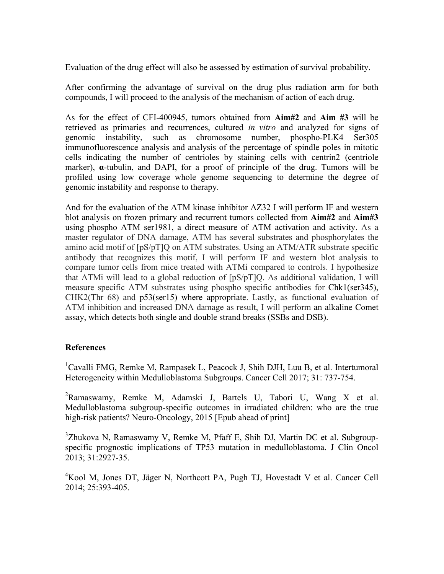Evaluation of the drug effect will also be assessed by estimation of survival probability.

After confirming the advantage of survival on the drug plus radiation arm for both compounds, I will proceed to the analysis of the mechanism of action of each drug.

As for the effect of CFI-400945, tumors obtained from **Aim#2** and **Aim #3** will be retrieved as primaries and recurrences, cultured *in vitro* and analyzed for signs of genomic instability, such as chromosome number, phospho-PLK4 Ser305 immunofluorescence analysis and analysis of the percentage of spindle poles in mitotic cells indicating the number of centrioles by staining cells with centrin2 (centriole marker), **α**-tubulin, and DAPI, for a proof of principle of the drug. Tumors will be profiled using low coverage whole genome sequencing to determine the degree of genomic instability and response to therapy.

And for the evaluation of the ATM kinase inhibitor AZ32 I will perform IF and western blot analysis on frozen primary and recurrent tumors collected from **Aim#2** and **Aim#3** using phospho ATM ser1981, a direct measure of ATM activation and activity. As a master regulator of DNA damage, ATM has several substrates and phosphorylates the amino acid motif of [pS/pT]Q on ATM substrates. Using an ATM/ATR substrate specific antibody that recognizes this motif, I will perform IF and western blot analysis to compare tumor cells from mice treated with ATMi compared to controls. I hypothesize that ATMi will lead to a global reduction of [pS/pT]Q. As additional validation, I will measure specific ATM substrates using phospho specific antibodies for Chk1(ser345), CHK2(Thr 68) and p53(ser15) where appropriate. Lastly, as functional evaluation of ATM inhibition and increased DNA damage as result, I will perform an alkaline Comet assay, which detects both single and double strand breaks (SSBs and DSB).

## **References**

<sup>1</sup>Cavalli FMG, Remke M, Rampasek L, Peacock J, Shih DJH, Luu B, et al. Intertumoral Heterogeneity within Medulloblastoma Subgroups. Cancer Cell 2017; 31: 737-754.

<sup>2</sup>Ramaswamy, Remke M, Adamski J, Bartels U, Tabori U, Wang X et al. Medulloblastoma subgroup-specific outcomes in irradiated children: who are the true high-risk patients? Neuro-Oncology, 2015 [Epub ahead of print]

<sup>3</sup>Zhukova N, Ramaswamy V, Remke M, Pfaff E, Shih DJ, Martin DC et al. Subgroupspecific prognostic implications of TP53 mutation in medulloblastoma. J Clin Oncol 2013; 31:2927-35.

4 Kool M, Jones DT, Jäger N, Northcott PA, Pugh TJ, Hovestadt V et al. Cancer Cell 2014; 25:393-405.